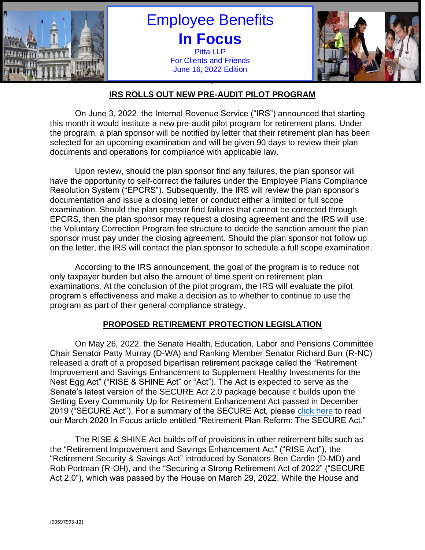

Employee Benefits **In Focus** Pitta LLP For Clients and Friends June 16, 2022 Edition



#### " **IRS ROLLS OUT NEW PRE-AUDIT PILOT PROGRAM**

On June 3, 2022, the Internal Revenue Service ("IRS") announced that starting this month it would institute a new pre-audit pilot program for retirement plans. Under the program, a plan sponsor will be notified by letter that their retirement plan has been selected for an upcoming examination and will be given 90 days to review their plan documents and operations for compliance with applicable law.

Upon review, should the plan sponsor find any failures, the plan sponsor will have the opportunity to self-correct the failures under the Employee Plans Compliance Resolution System ("EPCRS"). Subsequently, the IRS will review the plan sponsor's documentation and issue a closing letter or conduct either a limited or full scope examination. Should the plan sponsor find failures that cannot be corrected through EPCRS, then the plan sponsor may request a closing agreement and the IRS will use the Voluntary Correction Program fee structure to decide the sanction amount the plan sponsor must pay under the closing agreement. Should the plan sponsor not follow up on the letter, the IRS will contact the plan sponsor to schedule a full scope examination.

According to the IRS announcement, the goal of the program is to reduce not only taxpayer burden but also the amount of time spent on retirement plan examinations. At the conclusion of the pilot program, the IRS will evaluate the pilot program's effectiveness and make a decision as to whether to continue to use the program as part of their general compliance strategy.

# **PROPOSED RETIREMENT PROTECTION LEGISLATION**

On May 26, 2022, the Senate Health, Education, Labor and Pensions Committee Chair Senator Patty Murray (D-WA) and Ranking Member Senator Richard Burr (R-NC) released a draft of a proposed bipartisan retirement package called the "Retirement Improvement and Savings Enhancement to Supplement Healthy Investments for the Nest Egg Act" ("RISE & SHINE Act" or "Act"). The Act is expected to serve as the Senate's latest version of the SECURE Act 2.0 package because it builds upon the Setting Every Community Up for Retirement Enhancement Act passed in December 2019 ("SECURE Act"). For a summary of the SECURE Act, please [click here](https://files.constantcontact.com/cc29d5c8601/ab128cf4-b121-4f69-a599-316169415d59.pdf) to read our March 2020 In Focus article entitled "Retirement Plan Reform: The SECURE Act."

The RISE & SHINE Act builds off of provisions in other retirement bills such as the "Retirement Improvement and Savings Enhancement Act" ("RISE Act"), the "Retirement Security & Savings Act" introduced by Senators Ben Cardin (D-MD) and Rob Portman (R-OH), and the "Securing a Strong Retirement Act of 2022" ("SECURE Act 2.0"), which was passed by the House on March 29, 2022. While the House and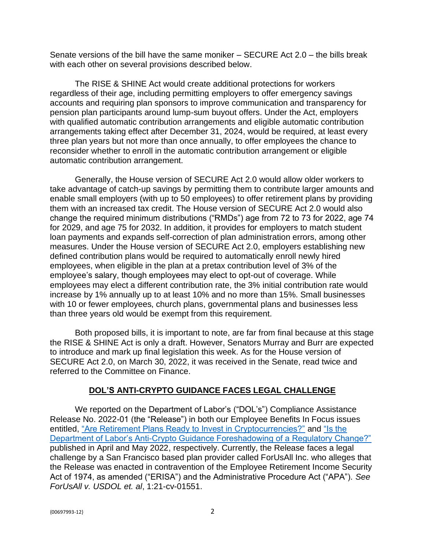Senate versions of the bill have the same moniker – SECURE Act 2.0 – the bills break with each other on several provisions described below.

The RISE & SHINE Act would create additional protections for workers regardless of their age, including permitting employers to offer emergency savings accounts and requiring plan sponsors to improve communication and transparency for pension plan participants around lump-sum buyout offers. Under the Act, employers with qualified automatic contribution arrangements and eligible automatic contribution arrangements taking effect after December 31, 2024, would be required, at least every three plan years but not more than once annually, to offer employees the chance to reconsider whether to enroll in the automatic contribution arrangement or eligible automatic contribution arrangement.

Generally, the House version of SECURE Act 2.0 would allow older workers to take advantage of catch-up savings by permitting them to contribute larger amounts and enable small employers (with up to 50 employees) to offer retirement plans by providing them with an increased tax credit. The House version of SECURE Act 2.0 would also change the required minimum distributions ("RMDs") age from 72 to 73 for 2022, age 74 for 2029, and age 75 for 2032. In addition, it provides for employers to match student loan payments and expands self-correction of plan administration errors, among other measures. Under the House version of SECURE Act 2.0, employers establishing new defined contribution plans would be required to automatically enroll newly hired employees, when eligible in the plan at a pretax contribution level of 3% of the employee's salary, though employees may elect to opt-out of coverage. While employees may elect a different contribution rate, the 3% initial contribution rate would increase by 1% annually up to at least 10% and no more than 15%. Small businesses with 10 or fewer employees, church plans, governmental plans and businesses less than three years old would be exempt from this requirement.

Both proposed bills, it is important to note, are far from final because at this stage the RISE & SHINE Act is only a draft. However, Senators Murray and Burr are expected to introduce and mark up final legislation this week. As for the House version of SECURE Act 2.0, on March 30, 2022, it was received in the Senate, read twice and referred to the Committee on Finance.

#### **DOL'S ANTI-CRYPTO GUIDANCE FACES LEGAL CHALLENGE**

We reported on the Department of Labor's ("DOL's") Compliance Assistance Release No. 2022-01 (the "Release") in both our Employee Benefits In Focus issues entitled, ["Are Retirement Plans Ready to Invest in Cryptocurrencies?"](https://files.constantcontact.com/cc29d5c8601/8143fa9c-d94b-4a41-aecf-56a8a43e9487.pdf) and ["Is the](https://files.constantcontact.com/cc29d5c8601/8bb591af-8679-44cc-a37e-c3ac6c845978.pdf)  [Department of Labor's Anti-Crypto Guidance Foreshadowing of a Regulatory Change?"](https://files.constantcontact.com/cc29d5c8601/8bb591af-8679-44cc-a37e-c3ac6c845978.pdf) published in April and May 2022, respectively. Currently, the Release faces a legal challenge by a San Francisco based plan provider called ForUsAll Inc. who alleges that the Release was enacted in contravention of the Employee Retirement Income Security Act of 1974, as amended ("ERISA") and the Administrative Procedure Act ("APA"). *See ForUsAll v. USDOL et. al*, 1:21-cv-01551.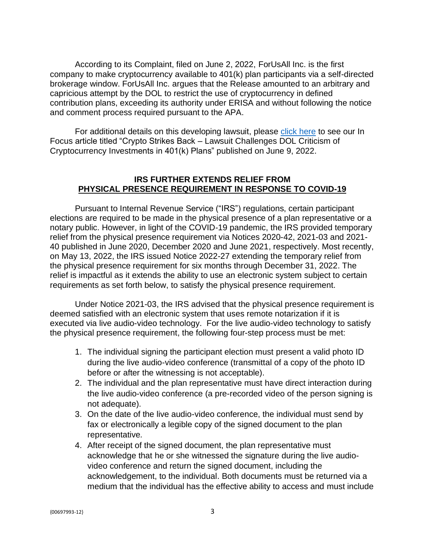According to its Complaint, filed on June 2, 2022, ForUsAll Inc. is the first company to make cryptocurrency available to 401(k) plan participants via a self-directed brokerage window. ForUsAll Inc. argues that the Release amounted to an arbitrary and capricious attempt by the DOL to restrict the use of cryptocurrency in defined contribution plans, exceeding its authority under ERISA and without following the notice and comment process required pursuant to the APA.

For additional details on this developing lawsuit, please [click here](https://files.constantcontact.com/cc29d5c8601/ddec6973-397d-40b7-bd51-c3576e632f33.pdf) to see our In Focus article titled "Crypto Strikes Back – Lawsuit Challenges DOL Criticism of Cryptocurrency Investments in 401(k) Plans" published on June 9, 2022.

# **IRS FURTHER EXTENDS RELIEF FROM PHYSICAL PRESENCE REQUIREMENT IN RESPONSE TO COVID-19**

Pursuant to Internal Revenue Service ("IRS") regulations, certain participant elections are required to be made in the physical presence of a plan representative or a notary public. However, in light of the COVID-19 pandemic, the IRS provided temporary relief from the physical presence requirement via Notices 2020-42, 2021-03 and 2021- 40 published in June 2020, December 2020 and June 2021, respectively. Most recently, on May 13, 2022, the IRS issued Notice 2022-27 extending the temporary relief from the physical presence requirement for six months through December 31, 2022. The relief is impactful as it extends the ability to use an electronic system subject to certain requirements as set forth below, to satisfy the physical presence requirement.

Under Notice 2021-03, the IRS advised that the physical presence requirement is deemed satisfied with an electronic system that uses remote notarization if it is executed via live audio-video technology. For the live audio-video technology to satisfy the physical presence requirement, the following four-step process must be met:

- 1. The individual signing the participant election must present a valid photo ID during the live audio-video conference (transmittal of a copy of the photo ID before or after the witnessing is not acceptable).
- 2. The individual and the plan representative must have direct interaction during the live audio-video conference (a pre-recorded video of the person signing is not adequate).
- 3. On the date of the live audio-video conference, the individual must send by fax or electronically a legible copy of the signed document to the plan representative*.*
- 4. After receipt of the signed document, the plan representative must acknowledge that he or she witnessed the signature during the live audiovideo conference and return the signed document, including the acknowledgement, to the individual. Both documents must be returned via a medium that the individual has the effective ability to access and must include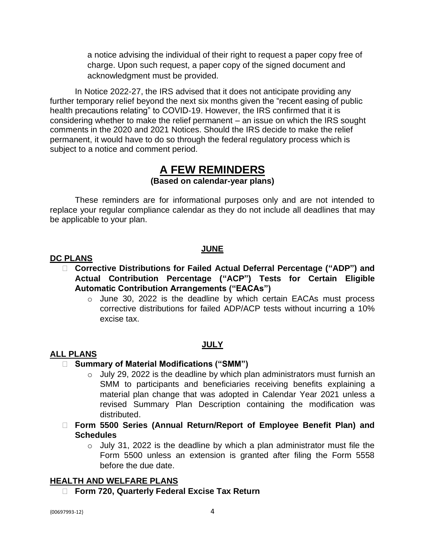a notice advising the individual of their right to request a paper copy free of charge. Upon such request, a paper copy of the signed document and acknowledgment must be provided.

In Notice 2022-27, the IRS advised that it does not anticipate providing any further temporary relief beyond the next six months given the "recent easing of public health precautions relating" to COVID-19. However, the IRS confirmed that it is considering whether to make the relief permanent – an issue on which the IRS sought comments in the 2020 and 2021 Notices. Should the IRS decide to make the relief permanent, it would have to do so through the federal regulatory process which is subject to a notice and comment period.

# **A FEW REMINDERS (Based on calendar-year plans)**

These reminders are for informational purposes only and are not intended to replace your regular compliance calendar as they do not include all deadlines that may be applicable to your plan.

# **JUNE**

#### **DC PLANS**

- **Corrective Distributions for Failed Actual Deferral Percentage ("ADP") and Actual Contribution Percentage ("ACP") Tests for Certain Eligible Automatic Contribution Arrangements ("EACAs")**
	- o June 30, 2022 is the deadline by which certain EACAs must process corrective distributions for failed ADP/ACP tests without incurring a 10% excise tax.

#### **JULY**

#### **ALL PLANS**

#### **Summary of Material Modifications ("SMM")**

- o July 29, 2022 is the deadline by which plan administrators must furnish an SMM to participants and beneficiaries receiving benefits explaining a material plan change that was adopted in Calendar Year 2021 unless a revised Summary Plan Description containing the modification was distributed.
- **Form 5500 Series (Annual Return/Report of Employee Benefit Plan) and Schedules**
	- $\circ$  July 31, 2022 is the deadline by which a plan administrator must file the Form 5500 unless an extension is granted after filing the Form 5558 before the due date.

#### **HEALTH AND WELFARE PLANS**

**Form 720, Quarterly Federal Excise Tax Return**